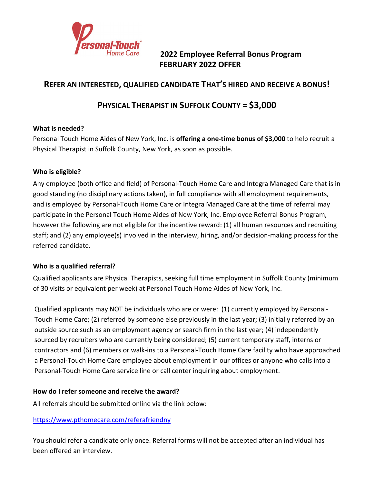

**2022 Employee Referral Bonus Program FEBRUARY 2022 OFFER**

## **REFER AN INTERESTED, QUALIFIED CANDIDATE THAT'S HIRED AND RECEIVE A BONUS!**

# **PHYSICAL THERAPIST IN SUFFOLK COUNTY = \$3,000**

### **What is needed?**

Personal Touch Home Aides of New York, Inc. is **offering a one-time bonus of \$3,000** to help recruit a Physical Therapist in Suffolk County, New York, as soon as possible.

### **Who is eligible?**

Any employee (both office and field) of Personal-Touch Home Care and Integra Managed Care that is in good standing (no disciplinary actions taken), in full compliance with all employment requirements, and is employed by Personal-Touch Home Care or Integra Managed Care at the time of referral may participate in the Personal Touch Home Aides of New York, Inc. Employee Referral Bonus Program, however the following are not eligible for the incentive reward: (1) all human resources and recruiting staff; and (2) any employee(s) involved in the interview, hiring, and/or decision-making process for the referred candidate.

#### **Who is a qualified referral?**

Qualified applicants are Physical Therapists, seeking full time employment in Suffolk County (minimum of 30 visits or equivalent per week) at Personal Touch Home Aides of New York, Inc.

Qualified applicants may NOT be individuals who are or were: (1) currently employed by Personal-Touch Home Care; (2) referred by someone else previously in the last year; (3) initially referred by an outside source such as an employment agency or search firm in the last year; (4) independently sourced by recruiters who are currently being considered; (5) current temporary staff, interns or contractors and (6) members or walk-ins to a Personal-Touch Home Care facility who have approached a Personal-Touch Home Care employee about employment in our offices or anyone who calls into a Personal-Touch Home Care service line or call center inquiring about employment.

#### **How do I refer someone and receive the award?**

All referrals should be submitted online via the link below:

## <https://www.pthomecare.com/referafriendny>

You should refer a candidate only once. Referral forms will not be accepted after an individual has been offered an interview.